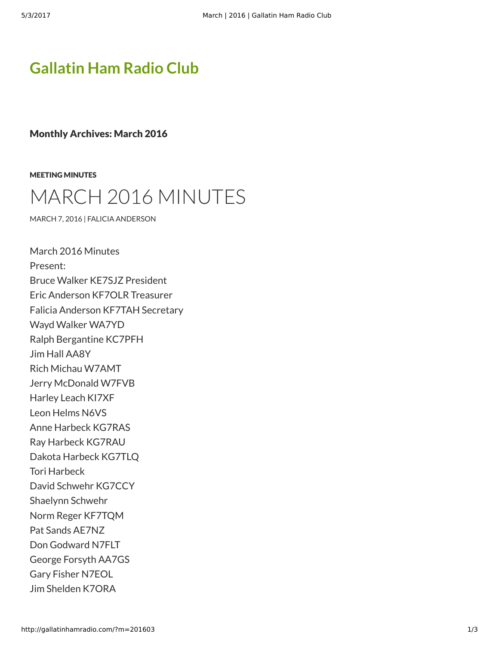## **[Gallatin Ham Radio Club](http://gallatinhamradio.com/)**

Monthly Archives: March 2016

[MEETING MINUTES](http://gallatinhamradio.com/?cat=2)



[MARCH 7, 2016](http://gallatinhamradio.com/?p=345) | [FALICIA ANDERSON](http://gallatinhamradio.com/?author=2)

March 2016 Minutes Present: Bruce Walker KE7SJZ President Eric Anderson KF7OLR Treasurer Falicia Anderson KF7TAH Secretary Wayd Walker WA7YD Ralph Bergantine KC7PFH Jim Hall AA8Y Rich Michau W7AMT Jerry McDonald W7FVB Harley Leach KI7XF Leon Helms N6VS Anne Harbeck KG7RAS Ray Harbeck KG7RAU Dakota Harbeck KG7TLQ Tori Harbeck David Schwehr KG7CCY Shaelynn Schwehr Norm Reger KF7TQM Pat Sands AE7NZ Don Godward N7FLT George Forsyth AA7GS Gary Fisher N7EOL Jim Shelden K7ORA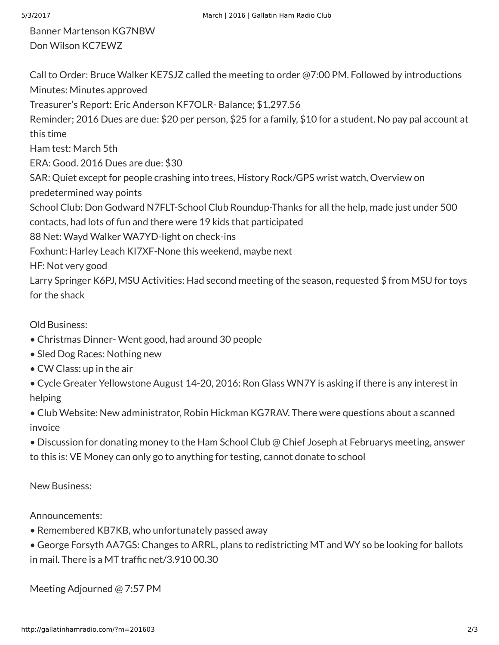Banner Martenson KG7NBW Don Wilson KC7EWZ

Call to Order: Bruce Walker KE7SJZ called the meeting to order @7:00 PM. Followed by introductions Minutes: Minutes approved Treasurer's Report: Eric Anderson KF7OLR- Balance; \$1,297.56 Reminder; 2016 Dues are due: \$20 per person, \$25 for a family, \$10 for a student. No pay pal account at this time Ham test: March 5th ERA: Good. 2016 Dues are due: \$30 SAR: Quiet except for people crashing into trees, History Rock/GPS wrist watch, Overview on predetermined way points School Club: Don Godward N7FLT-School Club Roundup-Thanks for all the help, made just under 500 contacts, had lots of fun and there were 19 kids that participated 88 Net: Wayd Walker WA7YD-light on check-ins Foxhunt: Harley Leach KI7XF-None this weekend, maybe next HF: Not very good Larry Springer K6PJ, MSU Activities: Had second meeting of the season, requested \$ from MSU for toys for the shack

Old Business:

- Christmas Dinner- Went good, had around 30 people
- Sled Dog Races: Nothing new
- CW Class: up in the air
- Cycle Greater Yellowstone August 14-20, 2016: Ron Glass WN7Y is asking if there is any interest in helping
- Club Website: New administrator, Robin Hickman KG7RAV. There were questions about a scanned invoice

• Discussion for donating money to the Ham School Club @ Chief Joseph at Februarys meeting, answer to this is: VE Money can only go to anything for testing, cannot donate to school

New Business:

Announcements:

- Remembered KB7KB, who unfortunately passed away
- George Forsyth AA7GS: Changes to ARRL, plans to redistricting MT and WY so be looking for ballots in mail. There is a MT traffic net/3.910 00.30

Meeting Adjourned @ 7:57 PM